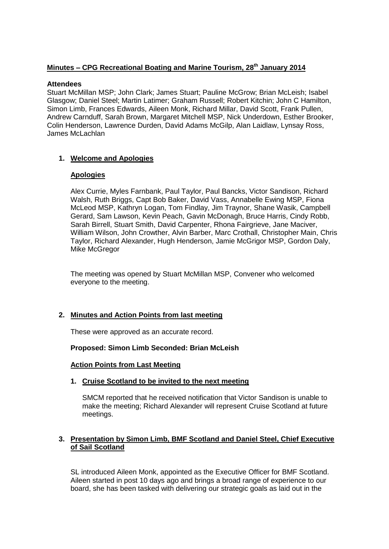# **Minutes – CPG Recreational Boating and Marine Tourism, 28th January 2014**

### **Attendees**

Stuart McMillan MSP; John Clark; James Stuart; Pauline McGrow; Brian McLeish; Isabel Glasgow; Daniel Steel; Martin Latimer; Graham Russell; Robert Kitchin; John C Hamilton, Simon Limb, Frances Edwards, Aileen Monk, Richard Millar, David Scott, Frank Pullen, Andrew Carnduff, Sarah Brown, Margaret Mitchell MSP, Nick Underdown, Esther Brooker, Colin Henderson, Lawrence Durden, David Adams McGilp, Alan Laidlaw, Lynsay Ross, James McLachlan

# **1. Welcome and Apologies**

### **Apologies**

Alex Currie, Myles Farnbank, Paul Taylor, Paul Bancks, Victor Sandison, Richard Walsh, Ruth Briggs, Capt Bob Baker, David Vass, Annabelle Ewing MSP, Fiona McLeod MSP, Kathryn Logan, Tom Findlay, Jim Traynor, Shane Wasik, Campbell Gerard, Sam Lawson, Kevin Peach, Gavin McDonagh, Bruce Harris, Cindy Robb, Sarah Birrell, Stuart Smith, David Carpenter, Rhona Fairgrieve, Jane Maciver, William Wilson, John Crowther, Alvin Barber, Marc Crothall, Christopher Main, Chris Taylor, Richard Alexander, Hugh Henderson, Jamie McGrigor MSP, Gordon Daly, Mike McGregor

The meeting was opened by Stuart McMillan MSP, Convener who welcomed everyone to the meeting.

### **2. Minutes and Action Points from last meeting**

These were approved as an accurate record.

### **Proposed: Simon Limb Seconded: Brian McLeish**

#### **Action Points from Last Meeting**

### **1. Cruise Scotland to be invited to the next meeting**

SMCM reported that he received notification that Victor Sandison is unable to make the meeting; Richard Alexander will represent Cruise Scotland at future meetings.

### **3. Presentation by Simon Limb, BMF Scotland and Daniel Steel, Chief Executive of Sail Scotland**

SL introduced Aileen Monk, appointed as the Executive Officer for BMF Scotland. Aileen started in post 10 days ago and brings a broad range of experience to our board, she has been tasked with delivering our strategic goals as laid out in the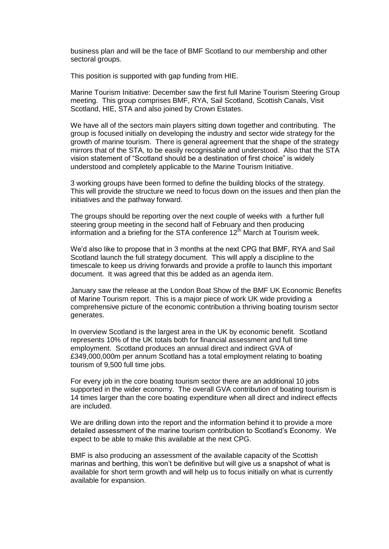business plan and will be the face of BMF Scotland to our membership and other sectoral groups.

This position is supported with gap funding from HIE.

Marine Tourism Initiative: December saw the first full Marine Tourism Steering Group meeting. This group comprises BMF, RYA, Sail Scotland, Scottish Canals, Visit Scotland, HIE, STA and also joined by Crown Estates.

We have all of the sectors main players sitting down together and contributing. The group is focused initially on developing the industry and sector wide strategy for the growth of marine tourism. There is general agreement that the shape of the strategy mirrors that of the STA, to be easily recognisable and understood. Also that the STA vision statement of "Scotland should be a destination of first choice" is widely understood and completely applicable to the Marine Tourism Initiative.

3 working groups have been formed to define the building blocks of the strategy. This will provide the structure we need to focus down on the issues and then plan the initiatives and the pathway forward.

The groups should be reporting over the next couple of weeks with a further full steering group meeting in the second half of February and then producing information and a briefing for the STA conference  $12<sup>th</sup>$  March at Tourism week.

We'd also like to propose that in 3 months at the next CPG that BMF, RYA and Sail Scotland launch the full strategy document. This will apply a discipline to the timescale to keep us driving forwards and provide a profile to launch this important document. It was agreed that this be added as an agenda item.

January saw the release at the London Boat Show of the BMF UK Economic Benefits of Marine Tourism report. This is a major piece of work UK wide providing a comprehensive picture of the economic contribution a thriving boating tourism sector generates.

In overview Scotland is the largest area in the UK by economic benefit. Scotland represents 10% of the UK totals both for financial assessment and full time employment. Scotland produces an annual direct and indirect GVA of £349,000,000m per annum Scotland has a total employment relating to boating tourism of 9,500 full time jobs.

For every job in the core boating tourism sector there are an additional 10 jobs supported in the wider economy. The overall GVA contribution of boating tourism is 14 times larger than the core boating expenditure when all direct and indirect effects are included.

We are drilling down into the report and the information behind it to provide a more detailed assessment of the marine tourism contribution to Scotland's Economy. We expect to be able to make this available at the next CPG.

BMF is also producing an assessment of the available capacity of the Scottish marinas and berthing, this won't be definitive but will give us a snapshot of what is available for short term growth and will help us to focus initially on what is currently available for expansion.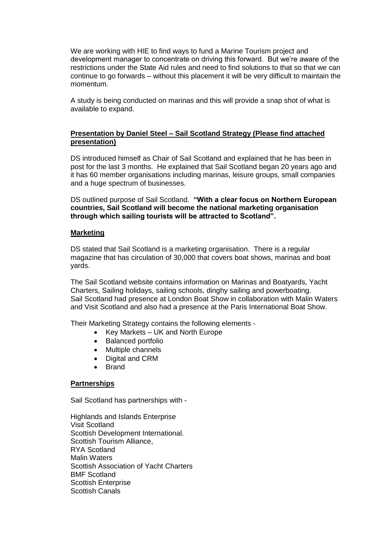We are working with HIE to find ways to fund a Marine Tourism project and development manager to concentrate on driving this forward. But we're aware of the restrictions under the State Aid rules and need to find solutions to that so that we can continue to go forwards – without this placement it will be very difficult to maintain the momentum.

A study is being conducted on marinas and this will provide a snap shot of what is available to expand.

## **Presentation by Daniel Steel – Sail Scotland Strategy (Please find attached presentation)**

DS introduced himself as Chair of Sail Scotland and explained that he has been in post for the last 3 months. He explained that Sail Scotland began 20 years ago and it has 60 member organisations including marinas, leisure groups, small companies and a huge spectrum of businesses.

DS outlined purpose of Sail Scotland. **"With a clear focus on Northern European countries, Sail Scotland will become the national marketing organisation through which sailing tourists will be attracted to Scotland".**

### **Marketing**

DS stated that Sail Scotland is a marketing organisation. There is a regular magazine that has circulation of 30,000 that covers boat shows, marinas and boat yards.

The Sail Scotland website contains information on Marinas and Boatyards, Yacht Charters, Sailing holidays, sailing schools, dinghy sailing and powerboating. Sail Scotland had presence at London Boat Show in collaboration with Malin Waters and Visit Scotland and also had a presence at the Paris International Boat Show.

Their Marketing Strategy contains the following elements -

- Key Markets UK and North Europe
- Balanced portfolio
- Multiple channels
- Digital and CRM
- Brand

#### **Partnerships**

Sail Scotland has partnerships with -

Highlands and Islands Enterprise Visit Scotland Scottish Development International. Scottish Tourism Alliance, RYA Scotland Malin Waters Scottish Association of Yacht Charters BMF Scotland Scottish Enterprise Scottish Canals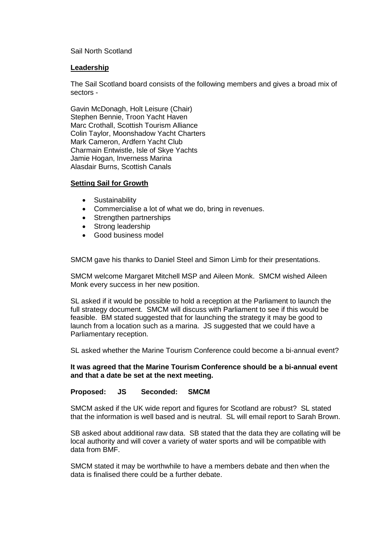#### Sail North Scotland

### **Leadership**

The Sail Scotland board consists of the following members and gives a broad mix of sectors -

Gavin McDonagh, Holt Leisure (Chair) Stephen Bennie, Troon Yacht Haven Marc Crothall, Scottish Tourism Alliance Colin Taylor, Moonshadow Yacht Charters Mark Cameron, Ardfern Yacht Club Charmain Entwistle, Isle of Skye Yachts Jamie Hogan, Inverness Marina Alasdair Burns, Scottish Canals

### **Setting Sail for Growth**

- Sustainability
- Commercialise a lot of what we do, bring in revenues.
- Strengthen partnerships
- Strong leadership
- Good business model

SMCM gave his thanks to Daniel Steel and Simon Limb for their presentations.

SMCM welcome Margaret Mitchell MSP and Aileen Monk. SMCM wished Aileen Monk every success in her new position.

SL asked if it would be possible to hold a reception at the Parliament to launch the full strategy document. SMCM will discuss with Parliament to see if this would be feasible. BM stated suggested that for launching the strategy it may be good to launch from a location such as a marina. JS suggested that we could have a Parliamentary reception.

SL asked whether the Marine Tourism Conference could become a bi-annual event?

**It was agreed that the Marine Tourism Conference should be a bi-annual event and that a date be set at the next meeting.**

#### **Proposed: JS Seconded: SMCM**

SMCM asked if the UK wide report and figures for Scotland are robust? SL stated that the information is well based and is neutral. SL will email report to Sarah Brown.

SB asked about additional raw data. SB stated that the data they are collating will be local authority and will cover a variety of water sports and will be compatible with data from BMF.

SMCM stated it may be worthwhile to have a members debate and then when the data is finalised there could be a further debate.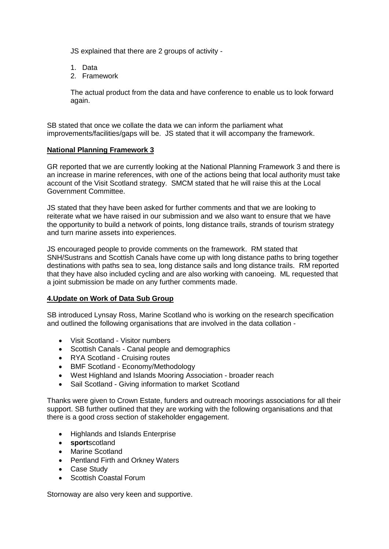JS explained that there are 2 groups of activity -

- 1. Data
- 2. Framework

The actual product from the data and have conference to enable us to look forward again.

SB stated that once we collate the data we can inform the parliament what improvements/facilities/gaps will be. JS stated that it will accompany the framework.

### **National Planning Framework 3**

GR reported that we are currently looking at the National Planning Framework 3 and there is an increase in marine references, with one of the actions being that local authority must take account of the Visit Scotland strategy. SMCM stated that he will raise this at the Local Government Committee.

JS stated that they have been asked for further comments and that we are looking to reiterate what we have raised in our submission and we also want to ensure that we have the opportunity to build a network of points, long distance trails, strands of tourism strategy and turn marine assets into experiences.

JS encouraged people to provide comments on the framework. RM stated that SNH/Sustrans and Scottish Canals have come up with long distance paths to bring together destinations with paths sea to sea, long distance sails and long distance trails. RM reported that they have also included cycling and are also working with canoeing. ML requested that a joint submission be made on any further comments made.

### **4.Update on Work of Data Sub Group**

SB introduced Lynsay Ross, Marine Scotland who is working on the research specification and outlined the following organisations that are involved in the data collation -

- Visit Scotland Visitor numbers
- Scottish Canals Canal people and demographics
- RYA Scotland Cruising routes
- BMF Scotland Economy/Methodology
- West Highland and Islands Mooring Association broader reach
- Sail Scotland Giving information to market Scotland

Thanks were given to Crown Estate, funders and outreach moorings associations for all their support. SB further outlined that they are working with the following organisations and that there is a good cross section of stakeholder engagement.

- Highlands and Islands Enterprise
- **sport**scotland
- Marine Scotland
- Pentland Firth and Orkney Waters
- Case Study
- Scottish Coastal Forum

Stornoway are also very keen and supportive.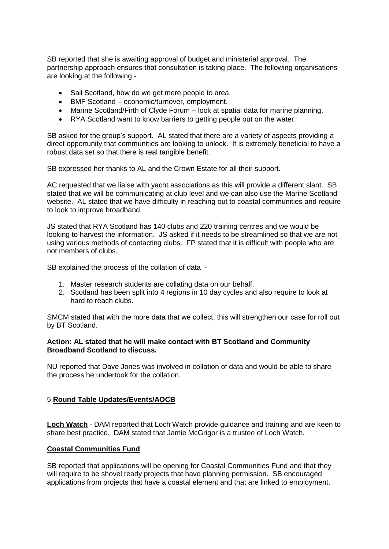SB reported that she is awaiting approval of budget and ministerial approval. The partnership approach ensures that consultation is taking place. The following organisations are looking at the following -

- Sail Scotland, how do we get more people to area.
- BMF Scotland economic/turnover, employment.
- Marine Scotland/Firth of Clyde Forum look at spatial data for marine planning.
- RYA Scotland want to know barriers to getting people out on the water.

SB asked for the group's support. AL stated that there are a variety of aspects providing a direct opportunity that communities are looking to unlock. It is extremely beneficial to have a robust data set so that there is real tangible benefit.

SB expressed her thanks to AL and the Crown Estate for all their support.

AC requested that we liaise with yacht associations as this will provide a different slant. SB stated that we will be communicating at club level and we can also use the Marine Scotland website. AL stated that we have difficulty in reaching out to coastal communities and require to look to improve broadband.

JS stated that RYA Scotland has 140 clubs and 220 training centres and we would be looking to harvest the information. JS asked if it needs to be streamlined so that we are not using various methods of contacting clubs. FP stated that it is difficult with people who are not members of clubs.

SB explained the process of the collation of data -

- 1. Master research students are collating data on our behalf.
- 2. Scotland has been split into 4 regions in 10 day cycles and also require to look at hard to reach clubs.

SMCM stated that with the more data that we collect, this will strengthen our case for roll out by BT Scotland.

### **Action: AL stated that he will make contact with BT Scotland and Community Broadband Scotland to discuss.**

NU reported that Dave Jones was involved in collation of data and would be able to share the process he undertook for the collation.

### 5.**Round Table Updates/Events/AOCB**

**Loch Watch** - DAM reported that Loch Watch provide guidance and training and are keen to share best practice. DAM stated that Jamie McGrigor is a trustee of Loch Watch.

### **Coastal Communities Fund**

SB reported that applications will be opening for Coastal Communities Fund and that they will require to be shovel ready projects that have planning permission. SB encouraged applications from projects that have a coastal element and that are linked to employment.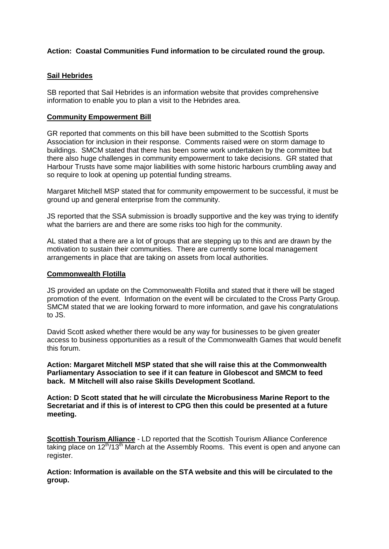## **Action: Coastal Communities Fund information to be circulated round the group.**

### **Sail Hebrides**

SB reported that Sail Hebrides is an information website that provides comprehensive information to enable you to plan a visit to the Hebrides area.

#### **Community Empowerment Bill**

GR reported that comments on this bill have been submitted to the Scottish Sports Association for inclusion in their response. Comments raised were on storm damage to buildings. SMCM stated that there has been some work undertaken by the committee but there also huge challenges in community empowerment to take decisions. GR stated that Harbour Trusts have some major liabilities with some historic harbours crumbling away and so require to look at opening up potential funding streams.

Margaret Mitchell MSP stated that for community empowerment to be successful, it must be ground up and general enterprise from the community.

JS reported that the SSA submission is broadly supportive and the key was trying to identify what the barriers are and there are some risks too high for the community.

AL stated that a there are a lot of groups that are stepping up to this and are drawn by the motivation to sustain their communities. There are currently some local management arrangements in place that are taking on assets from local authorities.

#### **Commonwealth Flotilla**

JS provided an update on the Commonwealth Flotilla and stated that it there will be staged promotion of the event. Information on the event will be circulated to the Cross Party Group. SMCM stated that we are looking forward to more information, and gave his congratulations to JS.

David Scott asked whether there would be any way for businesses to be given greater access to business opportunities as a result of the Commonwealth Games that would benefit this forum.

**Action: Margaret Mitchell MSP stated that she will raise this at the Commonwealth Parliamentary Association to see if it can feature in Globescot and SMCM to feed back. M Mitchell will also raise Skills Development Scotland.** 

**Action: D Scott stated that he will circulate the Microbusiness Marine Report to the Secretariat and if this is of interest to CPG then this could be presented at a future meeting.**

**Scottish Tourism Alliance** - LD reported that the Scottish Tourism Alliance Conference  $\overline{t}$  taking place on 12<sup>th</sup>/13<sup>th</sup> March at the Assembly Rooms. This event is open and anyone can register.

**Action: Information is available on the STA website and this will be circulated to the group.**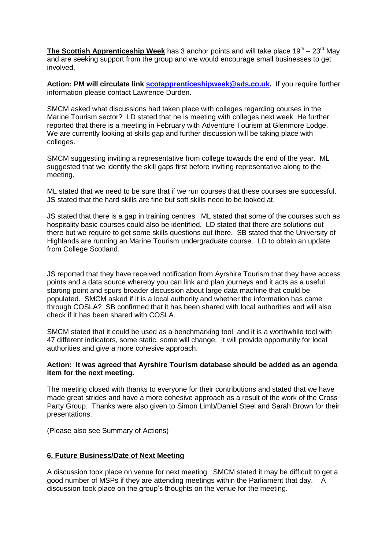**The Scottish Apprenticeship Week** has 3 anchor points and will take place 19<sup>th</sup> – 23<sup>rd</sup> May and are seeking support from the group and we would encourage small businesses to get involved.

**Action: PM will circulate link [scotapprenticeshipweek@sds.co.uk.](mailto:scotapprenticeshipweek@sds.co.uk)** If you require further information please contact Lawrence Durden.

SMCM asked what discussions had taken place with colleges regarding courses in the Marine Tourism sector? LD stated that he is meeting with colleges next week. He further reported that there is a meeting in February with Adventure Tourism at Glenmore Lodge. We are currently looking at skills gap and further discussion will be taking place with colleges.

SMCM suggesting inviting a representative from college towards the end of the year. ML suggested that we identify the skill gaps first before inviting representative along to the meeting.

ML stated that we need to be sure that if we run courses that these courses are successful. JS stated that the hard skills are fine but soft skills need to be looked at.

JS stated that there is a gap in training centres. ML stated that some of the courses such as hospitality basic courses could also be identified. LD stated that there are solutions out there but we require to get some skills questions out there. SB stated that the University of Highlands are running an Marine Tourism undergraduate course. LD to obtain an update from College Scotland.

JS reported that they have received notification from Ayrshire Tourism that they have access points and a data source whereby you can link and plan journeys and it acts as a useful starting point and spurs broader discussion about large data machine that could be populated. SMCM asked if it is a local authority and whether the information has came through COSLA? SB confirmed that it has been shared with local authorities and will also check if it has been shared with COSLA.

SMCM stated that it could be used as a benchmarking tool and it is a worthwhile tool with 47 different indicators, some static, some will change. It will provide opportunity for local authorities and give a more cohesive approach.

### **Action: It was agreed that Ayrshire Tourism database should be added as an agenda item for the next meeting.**

The meeting closed with thanks to everyone for their contributions and stated that we have made great strides and have a more cohesive approach as a result of the work of the Cross Party Group. Thanks were also given to Simon Limb/Daniel Steel and Sarah Brown for their presentations.

(Please also see Summary of Actions)

### **6. Future Business/Date of Next Meeting**

A discussion took place on venue for next meeting. SMCM stated it may be difficult to get a good number of MSPs if they are attending meetings within the Parliament that day. A discussion took place on the group's thoughts on the venue for the meeting.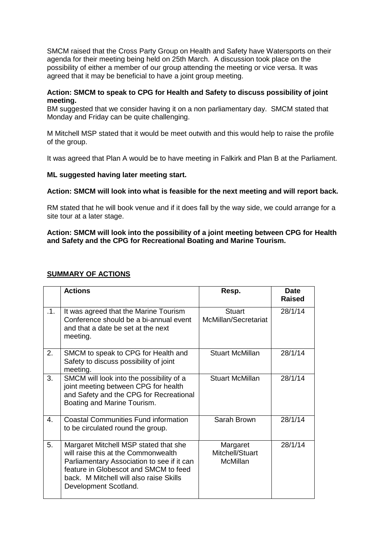SMCM raised that the Cross Party Group on Health and Safety have Watersports on their agenda for their meeting being held on 25th March. A discussion took place on the possibility of either a member of our group attending the meeting or vice versa. It was agreed that it may be beneficial to have a joint group meeting.

## **Action: SMCM to speak to CPG for Health and Safety to discuss possibility of joint meeting.**

BM suggested that we consider having it on a non parliamentary day. SMCM stated that Monday and Friday can be quite challenging.

M Mitchell MSP stated that it would be meet outwith and this would help to raise the profile of the group.

It was agreed that Plan A would be to have meeting in Falkirk and Plan B at the Parliament.

### **ML suggested having later meeting start.**

### **Action: SMCM will look into what is feasible for the next meeting and will report back.**

RM stated that he will book venue and if it does fall by the way side, we could arrange for a site tour at a later stage.

### **Action: SMCM will look into the possibility of a joint meeting between CPG for Health and Safety and the CPG for Recreational Boating and Marine Tourism.**

|     | <b>Actions</b>                                                                                                                                                                                                                          | Resp.                                   | <b>Date</b><br><b>Raised</b> |
|-----|-----------------------------------------------------------------------------------------------------------------------------------------------------------------------------------------------------------------------------------------|-----------------------------------------|------------------------------|
| .1. | It was agreed that the Marine Tourism<br>Conference should be a bi-annual event<br>and that a date be set at the next<br>meeting.                                                                                                       | <b>Stuart</b><br>McMillan/Secretariat   | 28/1/14                      |
| 2.  | SMCM to speak to CPG for Health and<br>Safety to discuss possibility of joint<br>meeting.                                                                                                                                               | <b>Stuart McMillan</b>                  | 28/1/14                      |
| 3.  | SMCM will look into the possibility of a<br>joint meeting between CPG for health<br>and Safety and the CPG for Recreational<br>Boating and Marine Tourism.                                                                              | <b>Stuart McMillan</b>                  | 28/1/14                      |
| 4.  | <b>Coastal Communities Fund information</b><br>to be circulated round the group.                                                                                                                                                        | Sarah Brown                             | 28/1/14                      |
| 5.  | Margaret Mitchell MSP stated that she<br>will raise this at the Commonwealth<br>Parliamentary Association to see if it can<br>feature in Globescot and SMCM to feed<br>back. M Mitchell will also raise Skills<br>Development Scotland. | Margaret<br>Mitchell/Stuart<br>McMillan | 28/1/14                      |

### **SUMMARY OF ACTIONS**